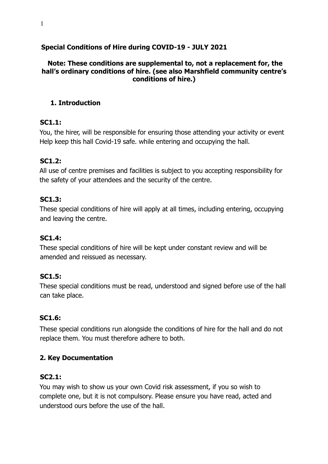#### **Special Conditions of Hire during COVID-19 - JULY 2021**

#### **Note: These conditions are supplemental to, not a replacement for, the hall's ordinary conditions of hire. (see also Marshfield community centre's conditions of hire.)**

#### **1. Introduction**

#### **SC1.1:**

You, the hirer, will be responsible for ensuring those attending your activity or event Help keep this hall Covid-19 safe. while entering and occupying the hall.

#### **SC1.2:**

All use of centre premises and facilities is subject to you accepting responsibility for the safety of your attendees and the security of the centre.

#### **SC1.3:**

These special conditions of hire will apply at all times, including entering, occupying and leaving the centre.

#### **SC1.4:**

These special conditions of hire will be kept under constant review and will be amended and reissued as necessary.

#### **SC1.5:**

These special conditions must be read, understood and signed before use of the hall can take place.

#### **SC1.6:**

These special conditions run alongside the conditions of hire for the hall and do not replace them. You must therefore adhere to both.

#### **2. Key Documentation**

#### **SC2.1:**

You may wish to show us your own Covid risk assessment, if you so wish to complete one, but it is not compulsory. Please ensure you have read, acted and understood ours before the use of the hall.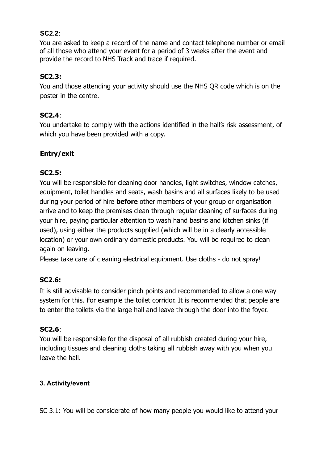### **SC2.2:**

You are asked to keep a record of the name and contact telephone number or email of all those who attend your event for a period of 3 weeks after the event and provide the record to NHS Track and trace if required.

### **SC2.3:**

You and those attending your activity should use the NHS QR code which is on the poster in the centre.

#### **SC2.4**:

You undertake to comply with the actions identified in the hall's risk assessment, of which you have been provided with a copy.

# **Entry/exit**

## **SC2.5:**

You will be responsible for cleaning door handles, light switches, window catches, equipment, toilet handles and seats, wash basins and all surfaces likely to be used during your period of hire **before** other members of your group or organisation arrive and to keep the premises clean through regular cleaning of surfaces during your hire, paying particular attention to wash hand basins and kitchen sinks (if used), using either the products supplied (which will be in a clearly accessible location) or your own ordinary domestic products. You will be required to clean again on leaving.

Please take care of cleaning electrical equipment. Use cloths - do not spray!

## **SC2.6:**

It is still advisable to consider pinch points and recommended to allow a one way system for this. For example the toilet corridor. It is recommended that people are to enter the toilets via the large hall and leave through the door into the foyer.

## **SC2.6**:

You will be responsible for the disposal of all rubbish created during your hire, including tissues and cleaning cloths taking all rubbish away with you when you leave the hall.

## **3. Activity/event**

SC 3.1: You will be considerate of how many people you would like to attend your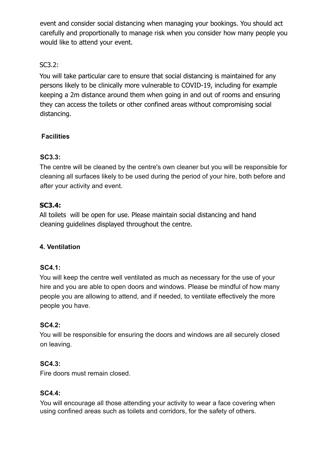event and consider social distancing when managing your bookings. You should act carefully and proportionally to manage risk when you consider how many people you would like to attend your event.

# SC3.2:

You will take particular care to ensure that social distancing is maintained for any persons likely to be clinically more vulnerable to COVID-19, including for example keeping a 2m distance around them when going in and out of rooms and ensuring they can access the toilets or other confined areas without compromising social distancing.

# **Facilities**

## **SC3.3:**

The centre will be cleaned by the centre's own cleaner but you will be responsible for cleaning all surfaces likely to be used during the period of your hire, both before and after your activity and event.

# **SC3.4:**

All toilets will be open for use. Please maintain social distancing and hand cleaning guidelines displayed throughout the centre.

# **4. Ventilation**

## **SC4.1:**

You will keep the centre well ventilated as much as necessary for the use of your hire and you are able to open doors and windows. Please be mindful of how many people you are allowing to attend, and if needed, to ventilate effectively the more people you have.

## **SC4.2:**

You will be responsible for ensuring the doors and windows are all securely closed on leaving.

# **SC4.3:**

Fire doors must remain closed.

## **SC4.4:**

You will encourage all those attending your activity to wear a face covering when using confined areas such as toilets and corridors, for the safety of others.